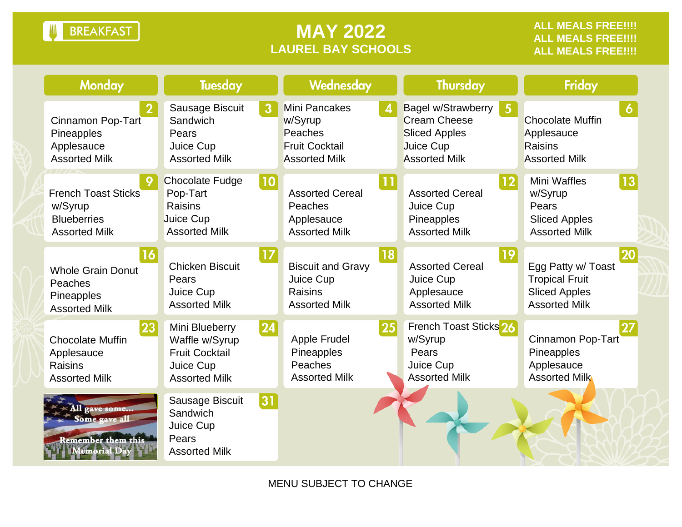**BREAKFAST** Ш

## **MAY 2022 LAUREL BAY SCHOOLS**

| <b>Monday</b>                                                                       | <b>Tuesday</b>                                                                                 |              | Wednesday                                                                            |    | <b>Thursday</b>                                                                                                                  | Friday                                                                                            |  |
|-------------------------------------------------------------------------------------|------------------------------------------------------------------------------------------------|--------------|--------------------------------------------------------------------------------------|----|----------------------------------------------------------------------------------------------------------------------------------|---------------------------------------------------------------------------------------------------|--|
| Cinnamon Pop-Tart<br>Pineapples<br>Applesauce<br><b>Assorted Milk</b>               | Sausage Biscuit<br>Sandwich<br>Pears<br>Juice Cup<br><b>Assorted Milk</b>                      | 3            | Mini Pancakes<br>w/Syrup<br>Peaches<br><b>Fruit Cocktail</b><br><b>Assorted Milk</b> |    | <b>Bagel w/Strawberry</b><br>$5\phantom{.0}$<br><b>Cream Cheese</b><br><b>Sliced Apples</b><br>Juice Cup<br><b>Assorted Milk</b> | 6<br><b>Chocolate Muffin</b><br>Applesauce<br>Raisins<br><b>Assorted Milk</b>                     |  |
| <b>French Toast Sticks</b><br>w/Syrup<br><b>Blueberries</b><br><b>Assorted Milk</b> | <b>Chocolate Fudge</b><br>Pop-Tart<br>Raisins<br>Juice Cup<br><b>Assorted Milk</b>             | 10           | <b>Assorted Cereal</b><br>Peaches<br>Applesauce<br><b>Assorted Milk</b>              | 11 | 12 <br><b>Assorted Cereal</b><br>Juice Cup<br>Pineapples<br><b>Assorted Milk</b>                                                 | <b>Mini Waffles</b><br>13<br>w/Syrup<br>Pears<br><b>Sliced Apples</b><br><b>Assorted Milk</b>     |  |
| 16<br><b>Whole Grain Donut</b><br>Peaches<br>Pineapples<br><b>Assorted Milk</b>     | <b>Chicken Biscuit</b><br>Pears<br>Juice Cup<br><b>Assorted Milk</b>                           | 17           | <b>Biscuit and Gravy</b><br>Juice Cup<br>Raisins<br><b>Assorted Milk</b>             | 18 | 19<br><b>Assorted Cereal</b><br>Juice Cup<br>Applesauce<br><b>Assorted Milk</b>                                                  | 20<br>Egg Patty w/ Toast<br><b>Tropical Fruit</b><br><b>Sliced Apples</b><br><b>Assorted Milk</b> |  |
| 23<br><b>Chocolate Muffin</b><br>Applesauce<br>Raisins<br><b>Assorted Milk</b>      | Mini Blueberry<br>Waffle w/Syrup<br><b>Fruit Cocktail</b><br>Juice Cup<br><b>Assorted Milk</b> | $ 24\rangle$ | Apple Frudel<br>Pineapples<br>Peaches<br><b>Assorted Milk</b>                        | 25 | French Toast Sticks <sup>26</sup><br>w/Syrup<br>Pears<br>Juice Cup<br><b>Assorted Milk</b>                                       | Cinnamon Pop-Tart<br>Pineapples<br>Applesauce<br><b>Assorted Milk</b>                             |  |
| All gave some<br>Some gave all<br><b>Remember them this</b><br>lemorial Day         | Sausage Biscuit<br>Sandwich<br>Juice Cup<br>Pears<br><b>Assorted Milk</b>                      | 31           |                                                                                      |    |                                                                                                                                  |                                                                                                   |  |

MENU SUBJECT TO CHANGE